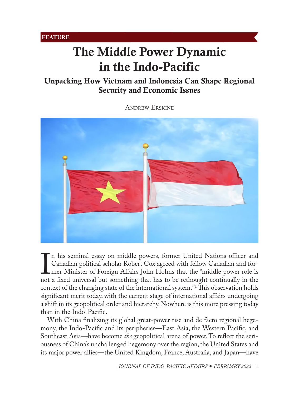# <span id="page-0-0"></span>The Middle Power Dynamic in the Indo-Pacific

# Unpacking How Vietnam and Indonesia Can Shape Regional Security and Economic Issues

[Andrew](#page-13-0) Erskine



If this seminar essay on initiate powers, former Onted Tvations officer and<br>Canadian political scholar Robert Cox agreed with fellow Canadian and for-<br>mer Minister of Foreign Affairs John Holms that the "middle power role n his seminal essay on middle powers, former United Nations officer and Canadian political scholar Robert Cox agreed with fellow Canadian and former Minister of Foreign Affairs John Holms that the "middle power role is context of the changing state of the international system."1 This observation holds significant merit today, with the current stage of international affairs undergoing a shift in its geopolitical order and hierarchy. Nowhere is this more pressing today than in the Indo-Pacific.

With China finalizing its global great-power rise and de facto regional hegemony, the Indo-Pacific and its peripheries—East Asia, the Western Pacific, and Southeast Asia—have become *the* geopolitical arena of power. To reflect the seriousness of China's unchallenged hegemony over the region, the United States and its major power allies—the United Kingdom, France, Australia, and Japan—have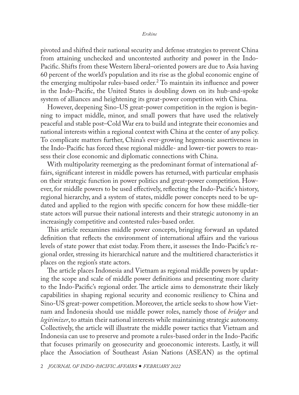pivoted and shifted their national security and defense strategies to prevent China from attaining unchecked and uncontested authority and power in the Indo-Pacific. Shifts from these Western liberal–oriented powers are due to Asia having 60 percent of the world's population and its rise as the global economic engine of the emerging multipolar rules-based order.<sup>2</sup> To maintain its influence and power in the Indo-Pacific, the United States is doubling down on its hub-and-spoke system of alliances and heightening its great-power competition with China.

However, deepening Sino-US great-power competition in the region is beginning to impact middle, minor, and small powers that have used the relatively peaceful and stable post–Cold War era to build and integrate their economies and national interests within a regional context with China at the center of any policy. To complicate matters further, China's ever-growing hegemonic assertiveness in the Indo-Pacific has forced these regional middle- and lower-tier powers to reassess their close economic and diplomatic connections with China.

With multipolarity reemerging as the predominant format of international affairs, significant interest in middle powers has returned, with particular emphasis on their strategic function in power politics and great-power competition. However, for middle powers to be used effectively, reflecting the Indo-Pacific's history, regional hierarchy, and a system of states, middle power concepts need to be updated and applied to the region with specific concern for how these middle-tier state actors will pursue their national interests and their strategic autonomy in an increasingly competitive and contested rules-based order.

This article reexamines middle power concepts, bringing forward an updated definition that reflects the environment of international affairs and the various levels of state power that exist today. From there, it assesses the Indo-Pacific's regional order, stressing its hierarchical nature and the multitiered characteristics it places on the region's state actors.

The article places Indonesia and Vietnam as regional middle powers by updating the scope and scale of middle power definitions and presenting more clarity to the Indo-Pacific's regional order. The article aims to demonstrate their likely capabilities in shaping regional security and economic resiliency to China and Sino-US great-power competition. Moreover, the article seeks to show how Vietnam and Indonesia should use middle power roles, namely those of *bridger* and *legitimizer*, to attain their national interests while maintaining strategic autonomy. Collectively, the article will illustrate the middle power tactics that Vietnam and Indonesia can use to preserve and promote a rules-based order in the Indo-Pacific that focuses primarily on geosecurity and geoeconomic interests. Lastly, it will place the Association of Southeast Asian Nations (ASEAN) as the optimal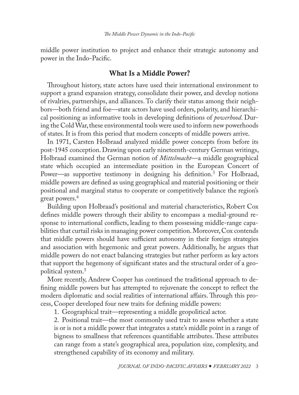middle power institution to project and enhance their strategic autonomy and power in the Indo-Pacific.

## What Is a Middle Power?

Throughout history, state actors have used their international environment to support a grand expansion strategy, consolidate their power, and develop notions of rivalries, partnerships, and alliances. To clarify their status among their neighbors—both friend and foe—state actors have used orders, polarity, and hierarchical positioning as informative tools in developing definitions of *powerhood*. During the Cold War, these environmental tools were used to inform new powerhoods of states. It is from this period that modern concepts of middle powers arrive.

In 1971, Carsten Holbraad analyzed middle power concepts from before its post-1945 conception. Drawing upon early nineteenth-century German writings, Holbraad examined the German notion of *Mittelmacht*—a middle geographical state which occupied an intermediate position in the European Concert of Power—as supportive testimony in designing his definition.3 For Holbraad, middle powers are defined as using geographical and material positioning or their positional and marginal status to cooperate or competitively balance the region's great powers.<sup>4</sup>

Building upon Holbraad's positional and material characteristics, Robert Cox defines middle powers through their ability to encompass a medial-ground response to international conflicts, leading to them possessing middle-range capabilities that curtail risks in managing power competition. Moreover, Cox contends that middle powers should have sufficient autonomy in their foreign strategies and association with hegemonic and great powers. Additionally, he argues that middle powers do not enact balancing strategies but rather perform as key actors that support the hegemony of significant states and the structural order of a geopolitical system.5

More recently, Andrew Cooper has continued the traditional approach to defining middle powers but has attempted to rejuvenate the concept to reflect the modern diplomatic and social realities of international affairs. Through this process, Cooper developed four new traits for defining middle powers:

1. Geographical trait—representing a middle geopolitical actor.

2. Positional trait—the most commonly used trait to assess whether a state is or is not a middle power that integrates a state's middle point in a range of bigness to smallness that references quantifiable attributes. These attributes can range from a state's geographical area, population size, complexity, and strengthened capability of its economy and military.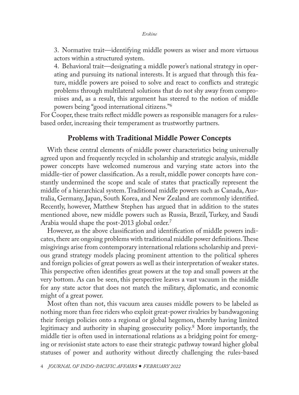3. Normative trait—identifying middle powers as wiser and more virtuous actors within a structured system.

4. Behavioral trait—designating a middle power's national strategy in operating and pursuing its national interests. It is argued that through this feature, middle powers are poised to solve and react to conflicts and strategic problems through multilateral solutions that do not shy away from compromises and, as a result, this argument has steered to the notion of middle powers being "good international citizens."6

For Cooper, these traits reflect middle powers as responsible managers for a rulesbased order, increasing their temperament as trustworthy partners.

## Problems with Traditional Middle Power Concepts

With these central elements of middle power characteristics being universally agreed upon and frequently recycled in scholarship and strategic analysis, middle power concepts have welcomed numerous and varying state actors into the middle-tier of power classification. As a result, middle power concepts have constantly undermined the scope and scale of states that practically represent the middle of a hierarchical system. Traditional middle powers such as Canada, Australia, Germany, Japan, South Korea, and New Zealand are commonly identified. Recently, however, Matthew Stephen has argued that in addition to the states mentioned above, new middle powers such as Russia, Brazil, Turkey, and Saudi Arabia would shape the post-2013 global order.<sup>7</sup>

However, as the above classification and identification of middle powers indicates, there are ongoing problems with traditional middle power definitions. These misgivings arise from contemporary international relations scholarship and previous grand strategy models placing prominent attention to the political spheres and foreign policies of great powers as well as their interpretation of weaker states. This perspective often identifies great powers at the top and small powers at the very bottom. As can be seen, this perspective leaves a vast vacuum in the middle for any state actor that does not match the military, diplomatic, and economic might of a great power.

Most often than not, this vacuum area causes middle powers to be labeled as nothing more than free riders who exploit great-power rivalries by bandwagoning their foreign policies onto a regional or global hegemon, thereby having limited legitimacy and authority in shaping geosecurity policy.8 More importantly, the middle tier is often used in international relations as a bridging point for emerging or revisionist state actors to ease their strategic pathway toward higher global statuses of power and authority without directly challenging the rules-based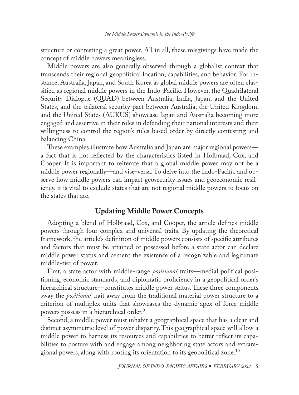structure or contesting a great power. All in all, these misgivings have made the concept of middle powers meaningless.

Middle powers are also generally observed through a globalist context that transcends their regional geopolitical location, capabilities, and behavior. For instance, Australia, Japan, and South Korea as global middle powers are often classified as regional middle powers in the Indo-Pacific. However, the Quadrilateral Security Dialogue (QUAD) between Australia, India, Japan, and the United States, and the trilateral security pact between Australia, the United Kingdom, and the United States (AUKUS) showcase Japan and Australia becoming more engaged and assertive in their roles in defending their national interests and their willingness to control the region's rules-based order by directly contesting and balancing China.

These examples illustrate how Australia and Japan are major regional powers a fact that is not reflected by the characteristics listed in Holbraad, Cox, and Cooper. It is important to reiterate that a global middle power may not be a middle power regionally—and vise-versa. To delve into the Indo-Pacific and observe how middle powers can impact geosecurity issues and geoeconomic resiliency, it is vital to exclude states that are not regional middle powers to focus on the states that are.

# Updating Middle Power Concepts

Adopting a blend of Holbraad, Cox, and Cooper, the article defines middle powers through four complex and universal traits. By updating the theoretical framework, the article's definition of middle powers consists of specific attributes and factors that must be attained or possessed before a state actor can declare middle power status and cement the existence of a recognizable and legitimate middle-tier of power.

First, a state actor with middle-range *positional* traits—medial political positioning, economic standards, and diplomatic proficiency in a geopolitical order's hierarchical structure—constitutes middle power status. These three components sway the *positional* trait away from the traditional material power structure to a criterion of multiplex units that showcases the dynamic apex of force middle powers possess in a hierarchical order.9

Second, a middle power must inhabit a geographical space that has a clear and distinct asymmetric level of power disparity. This geographical space will allow a middle power to harness its resources and capabilities to better reflect its capabilities to posture with and engage among neighboring state actors and extraregional powers, along with rooting its orientation to its geopolitical zone.<sup>10</sup>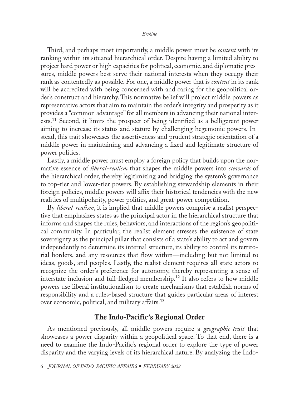#### *Erskine*

Third, and perhaps most importantly, a middle power must be *content* with its ranking within its situated hierarchical order. Despite having a limited ability to project hard power or high capacities for political, economic, and diplomatic pressures, middle powers best serve their national interests when they occupy their rank as contentedly as possible. For one, a middle power that is *content* in its rank will be accredited with being concerned with and caring for the geopolitical order's construct and hierarchy. This normative belief will project middle powers as representative actors that aim to maintain the order's integrity and prosperity as it provides a "common advantage" for all members in advancing their national interests.11 Second, it limits the prospect of being identified as a belligerent power aiming to increase its status and stature by challenging hegemonic powers. Instead, this trait showcases the assertiveness and prudent strategic orientation of a middle power in maintaining and advancing a fixed and legitimate structure of power politics.

Lastly, a middle power must employ a foreign policy that builds upon the normative essence of *liberal-realism* that shapes the middle powers into *stewards* of the hierarchical order, thereby legitimizing and bridging the system's governance to top-tier and lower-tier powers. By establishing stewardship elements in their foreign policies, middle powers will affix their historical tendencies with the new realities of multipolarity, power politics, and great-power competition.

By *liberal-realism*, it is implied that middle powers comprise a realist perspective that emphasizes states as the principal actor in the hierarchical structure that informs and shapes the rules, behaviors, and interactions of the region's geopolitical community. In particular, the realist element stresses the existence of state sovereignty as the principal pillar that consists of a state's ability to act and govern independently to determine its internal structure, its ability to control its territorial borders, and any resources that flow within—including but not limited to ideas, goods, and peoples. Lastly, the realist element requires all state actors to recognize the order's preference for autonomy, thereby representing a sense of interstate inclusion and full-fledged membership.<sup>12</sup> It also refers to how middle powers use liberal institutionalism to create mechanisms that establish norms of responsibility and a rules-based structure that guides particular areas of interest over economic, political, and military affairs.<sup>13</sup>

## The Indo-Pacific's Regional Order

As mentioned previously, all middle powers require a *geographic trait* that showcases a power disparity within a geopolitical space. To that end, there is a need to examine the Indo-Pacific's regional order to explore the type of power disparity and the varying levels of its hierarchical nature. By analyzing the Indo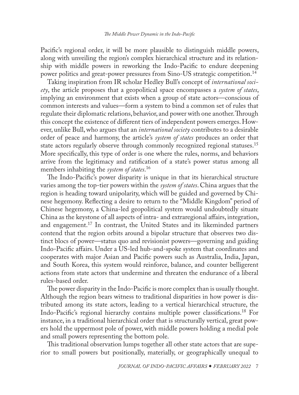Pacific's regional order, it will be more plausible to distinguish middle powers, along with unveiling the region's complex hierarchical structure and its relationship with middle powers in reworking the Indo-Pacific to endure deepening power politics and great-power pressures from Sino-US strategic competition.14

Taking inspiration from IR scholar Hedley Bull's concept of *international society*, the article proposes that a geopolitical space encompasses a *system of states*, implying an environment that exists when a group of state actors—conscious of common interests and values—form a system to bind a common set of rules that regulate their diplomatic relations, behavior, and power with one another. Through this concept the existence of different tiers of independent powers emerges. However, unlike Bull, who argues that an *international society* contributes to a desirable order of peace and harmony, the article's *system of states* produces an order that state actors regularly observe through commonly recognized regional statuses.15 More specifically, this type of order is one where the rules, norms, and behaviors arrive from the legitimacy and ratification of a state's power status among all members inhabiting the *system of states*. 16

The Indo-Pacific's power disparity is unique in that its hierarchical structure varies among the top-tier powers within the *system of states*. China argues that the region is heading toward unipolarity, which will be guided and governed by Chinese hegemony. Reflecting a desire to return to the "Middle Kingdom" period of Chinese hegemony, a China-led geopolitical system would undoubtedly situate China as the keystone of all aspects of intra- and extraregional affairs, integration, and engagement.<sup>17</sup> In contrast, the United States and its likeminded partners contend that the region orbits around a bipolar structure that observes two distinct blocs of power—status quo and revisionist powers—governing and guiding Indo-Pacific affairs. Under a US-led hub-and-spoke system that coordinates and cooperates with major Asian and Pacific powers such as Australia, India, Japan, and South Korea, this system would reinforce, balance, and counter belligerent actions from state actors that undermine and threaten the endurance of a liberal rules-based order.

The power disparity in the Indo-Pacific is more complex than is usually thought. Although the region bears witness to traditional disparities in how power is distributed among its state actors, leading to a vertical hierarchical structure, the Indo-Pacific's regional hierarchy contains multiple power classifications.18 For instance, in a traditional hierarchical order that is structurally vertical, great powers hold the uppermost pole of power, with middle powers holding a medial pole and small powers representing the bottom pole.

This traditional observation lumps together all other state actors that are superior to small powers but positionally, materially, or geographically unequal to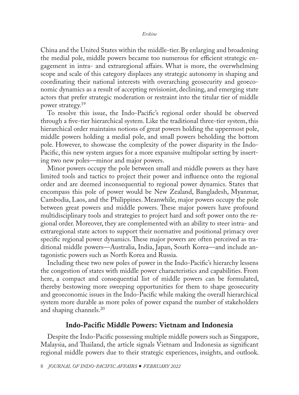China and the United States within the middle-tier. By enlarging and broadening the medial pole, middle powers became too numerous for efficient strategic engagement in intra- and extraregional affairs. What is more, the overwhelming scope and scale of this category displaces any strategic autonomy in shaping and coordinating their national interests with overarching geosecurity and geoeconomic dynamics as a result of accepting revisionist, declining, and emerging state actors that prefer strategic moderation or restraint into the titular tier of middle power strategy.<sup>19</sup>

To resolve this issue, the Indo-Pacific's regional order should be observed through a five-tier hierarchical system. Like the traditional three-tier system, this hierarchical order maintains notions of great powers holding the uppermost pole, middle powers holding a medial pole, and small powers beholding the bottom pole. However, to showcase the complexity of the power disparity in the Indo-Pacific, this new system argues for a more expansive multipolar setting by inserting two new poles—minor and major powers.

Minor powers occupy the pole between small and middle powers as they have limited tools and tactics to project their power and influence onto the regional order and are deemed inconsequential to regional power dynamics. States that encompass this pole of power would be New Zealand, Bangladesh, Myanmar, Cambodia, Laos, and the Philippines. Meanwhile, major powers occupy the pole between great powers and middle powers. These major powers have profound multidisciplinary tools and strategies to project hard and soft power onto the regional order. Moreover, they are complemented with an ability to steer intra- and extraregional state actors to support their normative and positional primacy over specific regional power dynamics. These major powers are often perceived as traditional middle powers—Australia, India, Japan, South Korea—and include antagonistic powers such as North Korea and Russia.

Including these two new poles of power in the Indo-Pacific's hierarchy lessens the congestion of states with middle power characteristics and capabilities. From here, a compact and consequential list of middle powers can be formulated, thereby bestowing more sweeping opportunities for them to shape geosecurity and geoeconomic issues in the Indo-Pacific while making the overall hierarchical system more durable as more poles of power expand the number of stakeholders and shaping channels.<sup>20</sup>

## Indo-Pacific Middle Powers: Vietnam and Indonesia

Despite the Indo-Pacific possessing multiple middle powers such as Singapore, Malaysia, and Thailand, the article signals Vietnam and Indonesia as significant regional middle powers due to their strategic experiences, insights, and outlook.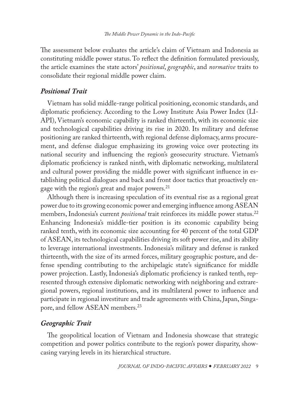The assessment below evaluates the article's claim of Vietnam and Indonesia as constituting middle power status. To reflect the definition formulated previously, the article examines the state actors' *positional*, *geographic*, and *normative* traits to consolidate their regional middle power claim.

## *Positional Trait*

Vietnam has solid middle-range political positioning, economic standards, and diplomatic proficiency. According to the Lowy Institute Asia Power Index (LI-API), Vietnam's economic capability is ranked thirteenth, with its economic size and technological capabilities driving its rise in 2020. Its military and defense positioning are ranked thirteenth, with regional defense diplomacy, arms procurement, and defense dialogue emphasizing its growing voice over protecting its national security and influencing the region's geosecurity structure. Vietnam's diplomatic proficiency is ranked ninth, with diplomatic networking, multilateral and cultural power providing the middle power with significant influence in establishing political dialogues and back and front door tactics that proactively engage with the region's great and major powers.<sup>21</sup>

Although there is increasing speculation of its eventual rise as a regional great power due to its growing economic power and emerging influence among ASEAN members, Indonesia's current *positional* trait reinforces its middle power status.22 Enhancing Indonesia's middle-tier position is its economic capability being ranked tenth, with its economic size accounting for 40 percent of the total GDP of ASEAN, its technological capabilities driving its soft power rise, and its ability to leverage international investments. Indonesia's military and defense is ranked thirteenth, with the size of its armed forces, military geographic posture, and defense spending contributing to the archipelagic state's significance for middle power projection. Lastly, Indonesia's diplomatic proficiency is ranked tenth, represented through extensive diplomatic networking with neighboring and extraregional powers, regional institutions, and its multilateral power to influence and participate in regional investiture and trade agreements with China, Japan, Singapore, and fellow ASEAN members.<sup>23</sup>

# *Geographic Trait*

The geopolitical location of Vietnam and Indonesia showcase that strategic competition and power politics contribute to the region's power disparity, showcasing varying levels in its hierarchical structure.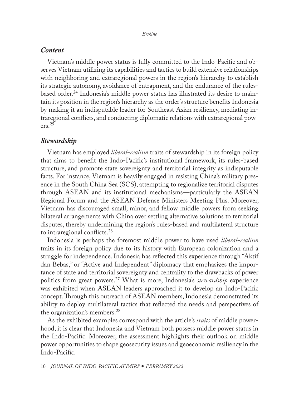#### *Content*

Vietnam's middle power status is fully committed to the Indo-Pacific and observes Vietnam utilizing its capabilities and tactics to build extensive relationships with neighboring and extraregional powers in the region's hierarchy to establish its strategic autonomy, avoidance of entrapment, and the endurance of the rulesbased order.24 Indonesia's middle power status has illustrated its desire to maintain its position in the region's hierarchy as the order's structure benefits Indonesia by making it an indisputable leader for Southeast Asian resiliency, mediating intraregional conflicts, and conducting diplomatic relations with extraregional pow $ers.<sup>25</sup>$ 

## *Stewardship*

Vietnam has employed *liberal-realism* traits of stewardship in its foreign policy that aims to benefit the Indo-Pacific's institutional framework, its rules-based structure, and promote state sovereignty and territorial integrity as indisputable facts. For instance, Vietnam is heavily engaged in resisting China's military presence in the South China Sea (SCS), attempting to regionalize territorial disputes through ASEAN and its institutional mechanisms—particularly the ASEAN Regional Forum and the ASEAN Defense Ministers Meeting Plus. Moreover, Vietnam has discouraged small, minor, and fellow middle powers from seeking bilateral arrangements with China over settling alternative solutions to territorial disputes, thereby undermining the region's rules-based and multilateral structure to intraregional conflicts.26

Indonesia is perhaps the foremost middle power to have used *liberal-realism* traits in its foreign policy due to its history with European colonization and a struggle for independence. Indonesia has reflected this experience through "Aktif dan Bebas," or "Active and Independent" diplomacy that emphasizes the importance of state and territorial sovereignty and centrality to the drawbacks of power politics from great powers.27 What is more, Indonesia's *stewardship* experience was exhibited when ASEAN leaders approached it to develop an Indo-Pacific concept. Through this outreach of ASEAN members, Indonesia demonstrated its ability to deploy multilateral tactics that reflected the needs and perspectives of the organization's members.28

As the exhibited examples correspond with the article's *traits* of middle powerhood, it is clear that Indonesia and Vietnam both possess middle power status in the Indo-Pacific. Moreover, the assessment highlights their outlook on middle power opportunities to shape geosecurity issues and geoeconomic resiliency in the Indo-Pacific.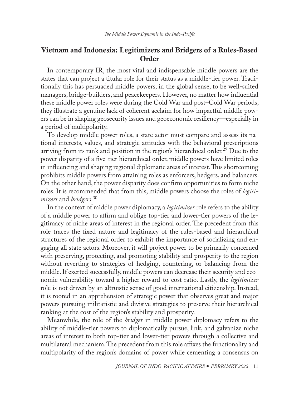# Vietnam and Indonesia: Legitimizers and Bridgers of a Rules-Based Order

In contemporary IR, the most vital and indispensable middle powers are the states that can project a titular role for their status as a middle-tier power. Traditionally this has persuaded middle powers, in the global sense, to be well-suited managers, bridge-builders, and peacekeepers. However, no matter how influential these middle power roles were during the Cold War and post–Cold War periods, they illustrate a genuine lack of coherent acclaim for how impactful middle powers can be in shaping geosecurity issues and geoeconomic resiliency—especially in a period of multipolarity.

To develop middle power roles, a state actor must compare and assess its national interests, values, and strategic attitudes with the behavioral prescriptions arriving from its rank and position in the region's hierarchical order.<sup>29</sup> Due to the power disparity of a five-tier hierarchical order, middle powers have limited roles in influencing and shaping regional diplomatic areas of interest. This shortcoming prohibits middle powers from attaining roles as enforcers, hedgers, and balancers. On the other hand, the power disparity does confirm opportunities to form niche roles. It is recommended that from this, middle powers choose the roles of *legitimizers* and *bridgers*. 30

In the context of middle power diplomacy, a *legitimizer* role refers to the ability of a middle power to affirm and oblige top-tier and lower-tier powers of the legitimacy of niche areas of interest in the regional order. The precedent from this role traces the fixed nature and legitimacy of the rules-based and hierarchical structures of the regional order to exhibit the importance of socializing and engaging all state actors. Moreover, it will project power to be primarily concerned with preserving, protecting, and promoting stability and prosperity to the region without reverting to strategies of hedging, countering, or balancing from the middle. If exerted successfully, middle powers can decrease their security and economic vulnerability toward a higher reward-to-cost ratio. Lastly, the *legitimizer* role is not driven by an altruistic sense of good international citizenship. Instead, it is rooted in an apprehension of strategic power that observes great and major powers pursuing militaristic and divisive strategies to preserve their hierarchical ranking at the cost of the region's stability and prosperity.

Meanwhile, the role of the *bridger* in middle power diplomacy refers to the ability of middle-tier powers to diplomatically pursue, link, and galvanize niche areas of interest to both top-tier and lower-tier powers through a collective and multilateral mechanism. The precedent from this role affixes the functionality and multipolarity of the region's domains of power while cementing a consensus on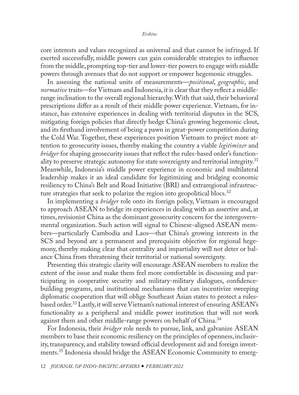core interests and values recognized as universal and that cannot be infringed. If exerted successfully, middle powers can gain considerable strategies to influence from the middle, prompting top-tier and lower-tier powers to engage with middle powers through avenues that do not support or empower hegemonic struggles.

In assessing the national units of measurements—*positional*, *geographic*, and *normative* traits—for Vietnam and Indonesia, it is clear that they reflect a middlerange inclination to the overall regional hierarchy. With that said, their behavioral prescriptions differ as a result of their middle power experience. Vietnam, for instance, has extensive experiences in dealing with territorial disputes in the SCS, mitigating foreign policies that directly hedge China's growing hegemonic clout, and its firsthand involvement of being a pawn in great-power competition during the Cold War. Together, these experiences position Vietnam to project more attention to geosecurity issues, thereby making the country a viable *legitimizer* and *bridger* for shaping geosecurity issues that reflect the rules-based order's functionality to preserve strategic autonomy for state sovereignty and territorial integrity.<sup>31</sup> Meanwhile, Indonesia's middle power experience in economic and multilateral leadership makes it an ideal candidate for legitimizing and bridging economic resiliency to China's Belt and Road Initiative (BRI) and extraregional infrastructure strategies that seek to polarize the region into geopolitical blocs.<sup>32</sup>

In implementing a *bridger* role onto its foreign policy, Vietnam is encouraged to approach ASEAN to bridge its experiences in dealing with an assertive and, at times, revisionist China as the dominant geosecurity concern for the intergovernmental organization. Such action will signal to Chinese-aligned ASEAN members—particularly Cambodia and Laos—that China's growing interests in the SCS and beyond are a permanent and prerequisite objective for regional hegemony, thereby making clear that centrality and impartiality will not deter or balance China from threatening their territorial or national sovereignty.

Presenting this strategic clarity will encourage ASEAN members to realize the extent of the issue and make them feel more comfortable in discussing and participating in cooperative security and military-military dialogues, confidencebuilding programs, and institutional mechanisms that can incentivize sweeping diplomatic cooperation that will oblige Southeast Asian states to protect a rulesbased order.33 Lastly, it will serve Vietnam's national interest of ensuring ASEAN's functionality as a peripheral and middle power institution that will not work against them and other middle-range powers on behalf of China.<sup>34</sup>

For Indonesia, their *bridger* role needs to pursue, link, and galvanize ASEAN members to base their economic resiliency on the principles of openness, inclusivity, transparency, and stability toward official development aid and foreign investments.35 Indonesia should bridge the ASEAN Economic Community to emerg-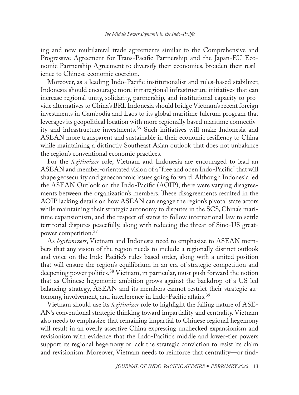ing and new multilateral trade agreements similar to the Comprehensive and Progressive Agreement for Trans-Pacific Partnership and the Japan-EU Economic Partnership Agreement to diversify their economies, broaden their resilience to Chinese economic coercion.

Moreover, as a leading Indo-Pacific institutionalist and rules-based stabilizer, Indonesia should encourage more intraregional infrastructure initiatives that can increase regional unity, solidarity, partnership, and institutional capacity to provide alternatives to China's BRI. Indonesia should bridge Vietnam's recent foreign investments in Cambodia and Laos to its global maritime fulcrum program that leverages its geopolitical location with more regionally based maritime connectivity and infrastructure investments.36 Such initiatives will make Indonesia and ASEAN more transparent and sustainable in their economic resiliency to China while maintaining a distinctly Southeast Asian outlook that does not unbalance the region's conventional economic practices.

For the *legitimizer* role, Vietnam and Indonesia are encouraged to lead an ASEAN and member-orientated vision of a "free and open Indo-Pacific" that will shape geosecurity and geoeconomic issues going forward. Although Indonesia led the ASEAN Outlook on the Indo-Pacific (AOIP), there were varying disagreements between the organization's members. These disagreements resulted in the AOIP lacking details on how ASEAN can engage the region's pivotal state actors while maintaining their strategic autonomy to disputes in the SCS, China's maritime expansionism, and the respect of states to follow international law to settle territorial disputes peacefully, along with reducing the threat of Sino-US greatpower competition.37

As *legitimizers*, Vietnam and Indonesia need to emphasize to ASEAN members that any vision of the region needs to include a regionally distinct outlook and voice on the Indo-Pacific's rules-based order, along with a united position that will ensure the region's equilibrium in an era of strategic competition and deepening power politics.<sup>38</sup> Vietnam, in particular, must push forward the notion that as Chinese hegemonic ambition grows against the backdrop of a US-led balancing strategy, ASEAN and its members cannot restrict their strategic autonomy, involvement, and interference in Indo-Pacific affairs.<sup>39</sup>

Vietnam should use its *legitimizer* role to highlight the failing nature of ASE-AN's conventional strategic thinking toward impartiality and centrality. Vietnam also needs to emphasize that remaining impartial to Chinese regional hegemony will result in an overly assertive China expressing unchecked expansionism and revisionism with evidence that the Indo-Pacific's middle and lower-tier powers support its regional hegemony or lack the strategic conviction to resist its claim and revisionism. Moreover, Vietnam needs to reinforce that centrality—or find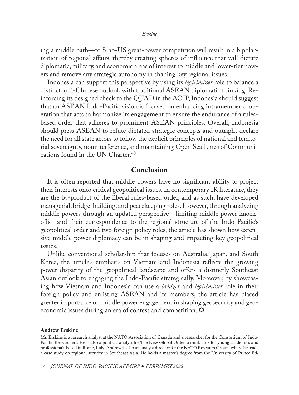<span id="page-13-0"></span>ing a middle path—to Sino-US great-power competition will result in a bipolarization of regional affairs, thereby creating spheres of influence that will dictate diplomatic, military, and economic areas of interest to middle and lower-tier powers and remove any strategic autonomy in shaping key regional issues.

Indonesia can support this perspective by using its *legitimizer* role to balance a distinct anti-Chinese outlook with traditional ASEAN diplomatic thinking. Reinforcing its designed check to the QUAD in the AOIP, Indonesia should suggest that an ASEAN Indo-Pacific vision is focused on enhancing intramember cooperation that acts to harmonize its engagement to ensure the endurance of a rulesbased order that adheres to prominent ASEAN principles. Overall, Indonesia should press ASEAN to refute dictated strategic concepts and outright declare the need for all state actors to follow the explicit principles of national and territorial sovereignty, noninterference, and maintaining Open Sea Lines of Communications found in the UN Charter.<sup>40</sup>

## Conclusion

It is often reported that middle powers have no significant ability to project their interests onto critical geopolitical issues. In contemporary IR literature, they are the by-product of the liberal rules-based order, and as such, have developed managerial, bridge-building, and peacekeeping roles. However, through analyzing middle powers through an updated perspective—limiting middle power knockoffs—and their correspondence to the regional structure of the Indo-Pacific's geopolitical order and two foreign policy roles, the article has shown how extensive middle power diplomacy can be in shaping and impacting key geopolitical issues.

Unlike conventional scholarship that focuses on Australia, Japan, and South Korea, the article's emphasis on Vietnam and Indonesia reflects the growing power disparity of the geopolitical landscape and offers a distinctly Southeast Asian outlook to engaging the Indo-Pacific strategically. Moreover, by showcasing how Vietnam and Indonesia can use a *bridger* and *legitimizer* role in their foreign policy and enlisting ASEAN and its members, the article has placed greater importance on middle power engagement in shaping geosecurity and geoeconomic issues during an era of contest and competition.  $\bullet$ 

#### [Andrew Erskine](#page-0-0)

Mr. Erskine is a research analyst at the NATO Association of Canada and a researcher for the Consortium of Indo-Pacific Researchers. He is also a political analyst for The New Global Order, a think tank for young academics and professionals based in Rome, Italy. Andrew is also an analyst director for the NATO Research Group, where he leads a case study on regional security in Southeast Asia. He holds a master's degree from the University of Prince Ed-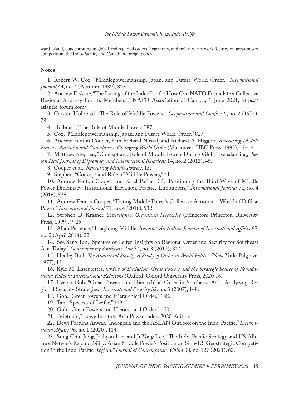#### *The Middle Power Dynamic in the Indo-Pacific*

ward Island, concentrating in global and regional orders, hegemony, and polarity. His work focuses on great-power competition, the Indo-Pacific, and Canadian foreign policy.

#### **Notes**

1. Robert W. Cox, "Middlepowermanship, Japan, and Future World Order," *International Journal* 44, no. 4 (Autumn, 1989), 825.

2. Andrew Erskine, "The Luring of the Indo-Pacific: How Can NATO Formulate a Collective Regional Strategy For Its Members?," NATO Association of Canada, 1 June 2021, https:// atlantic-forum.com/.

3. Carsten Holbraad, "The Role of Middle Powers," *Cooperation and Conflict* 6, no. 2 (1971): 78.

4. Holbraad, "The Role of Middle Powers," 87.

5. Cox, "Middlepowermanship, Japan, and Future World Order," 827.

6. Andrew Fenton Cooper, Kim Richard Nossal, and Richard A. Higgott, *Relocating Middle Powers: Australia and Canada in a Changing World Order* (Vancouver: UBC Press, 1993), 17–18.

7. Matthew Stephen, "Concept and Role of Middle Powers During Global Rebalancing," *Seton Hall Journal of Diplomacy and International Relations* 14, no. 2 (2013), 45.

8. Cooper et al., *Relocating Middle Powers*, 15.

9. Stephen, "Concept and Role of Middle Powers," 41.

10. Andrew Fenton Cooper and Emel Parlar Dal, "Positioning the Third Wave of Middle Power Diplomacy: Institutional Elevation, Practice Limitations," *International Journal* 71, no. 4 (2016), 526.

11. Andrew Fenton Cooper, "Testing Middle Power's Collective Action in a World of Diffuse Power," *International Journal* 71, no. 4 (2016), 532.

12. Stephen D. Krasner, *Sovereignty: Organized Hypocrisy* (Princeton: Princeton University Press, 1999), 9–25.

13. Allan Patience, "Imagining Middle Powers," *Australian Journal of International Affairs* 68, no. 2 (April 2014), 22.

14. See Seng Tan, "Spectres of Leifer: Insights on Regional Order and Security for Southeast Asia Today," *Contemporary Southeast Asia* 34, no. 3 (2012), 314.

15. Hedley Bull, *The Anarchical Society: A Study of Order in World Politics* (New York: Palgrave, 1977), 13.

16. Kyle M. Lascurettes, *Orders of Exclusion: Great Powers and the Strategic Source of Foundational Rules in International Relations* (Oxford: Oxford University Press, 2020), 6.

17. Evelyn Goh, "Great Powers and Hierarchical Order in Southeast Asia: Analyzing Regional Security Strategies," *International Security* 32, no. 3 (2007), 148.

18. Goh, "Great Powers and Hierarchical Order," 148.

19. Tan, "Spectres of Leifer," 319.

20. Goh, "Great Powers and Hierarchical Order," 152.

21. "Vietnam," Lowy Institute Asia Power Index, 2020 Edition.

22. Dewi Fortuna Anwar, "Indonesia and the ASEAN Outlook on the Indo-Pacific," *International Affairs* 96, no. 1 (2020), 114.

23. Sung Chul Jung, Jaehyon Lee, and Ji-Yong Lee, "The Indo-Pacific Strategy and US Alliance Network Expandability: Asian Middle Power's Position on Sino-US Geostrategic Competition in the Indo-Pacific Region," *Journal of Contemporary China* 30, no. 127 (2021), 62.